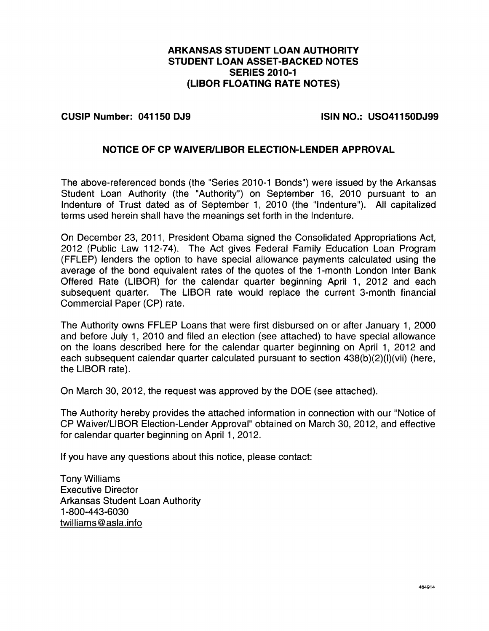# ARKANSAS STUDENT LOAN AUTHORITY STUDENT LOAN ASSET-BACKED NOTES SERIES 2010-1 (LIBOR FLOATING RATE NOTES)

#### CUSIP Number: 041150 DJ9 ISIN NO.: US041150DJ99

### NOTICE OF CP WAIVERILIBOR ELECTION-LENDER APPROVAL

The above-referenced bonds (the "Series 2010-1 Bonds") were issued by the Arkansas Student Loan Authority (the "Authority") on September 16, 2010 pursuant to an Indenture of Trust dated as of September 1, 2010 (the "Indenture"). All capitalized terms used herein shall have the meanings set forth in the Indenture.

On December 23, 2011, President Obama signed the Consolidated Appropriations Act, 2012 (Public Law 112-74). The Act gives Federal Family Education Loan Program (FFLEP) lenders the option to have special allowance payments calculated using the average of the bond equivalent rates of the quotes of the 1-month London Inter Bank Offered Rate (LIBOR) for the calendar quarter beginning April 1, 2012 and each subsequent quarter. The LIBOR rate would replace the current 3-month financial Commercial Paper (CP) rate.

The Authority owns FFLEP Loans that were first disbursed on or after January 1, 2000 and before July 1, 2010 and filed an election (see attached) to have special allowance on the loans described here for the calendar quarter beginning on April 1, 2012 and each subsequent calendar quarter calculated pursuant to section 438(b)(2)(l)(vii) (here, the LIBOR rate).

On March 30, 2012, the request was approved by the DOE (see attached).

The Authority hereby provides the attached information in connection with our "Notice of CP Waiver/LIBOR Election-Lender Approval" obtained on March 30, 2012, and effective for calendar quarter beginning on April 1, 2012.

If you have any questions about this notice, please contact:

Tony Williams Executive Director Arkansas Student Loan Authority <sup>1</sup> -800-443-6030 twilliams @ asla.info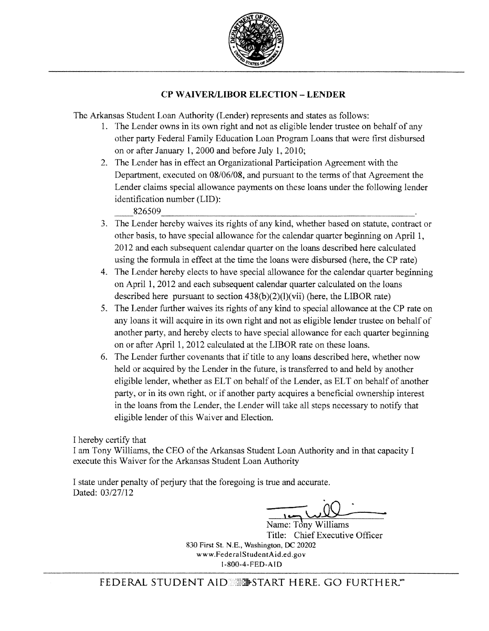

# CP WAIVERILIBOR ELECTION -LENDER

The Arkansas Student Loan Authority (Lender) represents and states as follows:

- 1. The Lender owns in its own right and not as eligible lender trustee on behalf of any other party Federal Family Education Loan Program Loans that were first disbursed on or after January 1, 2000 and before July 1, 2010;
- 2. The Lender has in effect an Organizational Participation Agreement with the Department, executed on 08/06/08, and pursuant to the terms of that Agreement the Lender claims special allowance payments on these loans under the following lender identification number (LID): 826509
- 3. The Lender hereby waives its rights of any kind, whether based on statute, contract or other basis, to have special allowance for the calendar quarter beginning on April 1, 2012 and each subsequent calendar quarter on the loans described here calculated using the formula in effect at the time the loans were disbursed (here, the CP rate)
- 4. The Lender hereby elects to have special allowance for the calendar quarter beginning on April 1, 2012 and each subsequent calendar quarter calculated on the loans described here pursuant to section  $438(b)(2)(l)(vii)$  (here, the LIBOR rate)
- 5. The Lender further waives its rights of any kind to special allowance at the CP rate on any loans it will acquire in its own right and not as eligible lender trustee on behalf of another party, and hereby elects to have special allowance for each quarter beginning on or after April 1, 2012 calculated at the LIBOR rate on these loans.
- 6. The Lender further covenants that if title to any loans described here, whether now held or acquired by the Lender in the future, is transferred to and held by another eligible lender, whether as ELT on behalf of the Lender, as ELT on behalf of another party, or in its own right, or if another party acquires a beneficial ownership interest in the loans from the Lender, the Lender will take all steps necessary to notify that eligible lender of this Waiver and Election.

I hereby certify that

<sup>I</sup> am Tony Williams, the CEO ofthe Arkansas Student Loan Authority and in that capacity I execute this Waiver for the Arkansas Student Loan Authority

I state under penalty of perjury that the foregoing is true and accurate. Dated: 03/27/12

Name: Tony Williams Title: Chief Executive Officer 830 First St. N.E., Washington, DC 20202 www.FederalStudentAid.ed.gov 1-800-4-FED-AID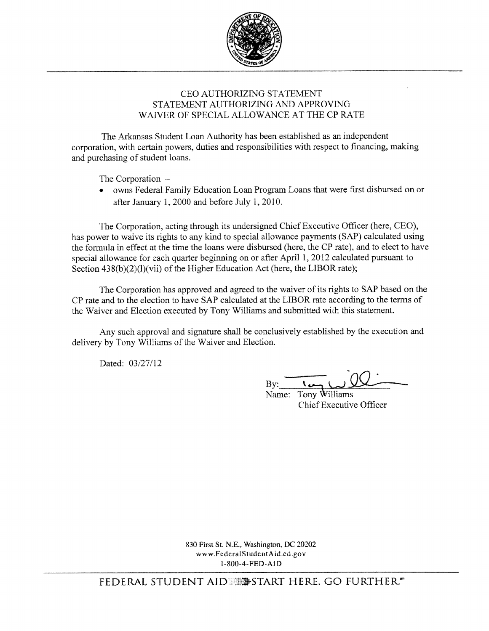

## CEO AUTHORIZING STATEMENT STATEMENT AUTHORIZING AND APPROVING WAIVER OF SPECIAL ALLOWANCE AT THE CP RATE

The Arkansas Student Loan Authority has been established as an independent corporation, with certain powers, duties and responsibilities with respect to financing, making and purchasing of student loans.

The Corporation —

• owns Federal Family Education Loan Program Loans that were first disbursed on or after January 1,2000 and before July 1, 2010.

The Corporation, acting through its undersigned Chief Executive Officer (here, CEO), has power to waive its rights to any kind to special allowance payments (SAP) calculated using the formula in effect at the time the loans were disbursed (here, the CP rate), and to elect to have special allowance for each quarter beginning on or after April 1, 2012 calculated pursuant to Section  $438(b)(2)(l)(vii)$  of the Higher Education Act (here, the LIBOR rate);

The Corporation has approved and agreed to the waiver of its rights to SAP based on the CP rate and to the election to have SAP calculated at the LIBOR rate according to the terms of the Waiver and Election executed by Tony Williams and submitted with this statement.

Any such approval and signature shall be conclusively established by the execution and delivery by Tony Williams of the Waiver and Election.

Dated: 03/27/12

By:

Name: Tony Williams Chief Executive Officer

830 First St. N.E., Washington, DC 20202 www.FederalStudentAid.ed.gov 1-800.4-FED-AiD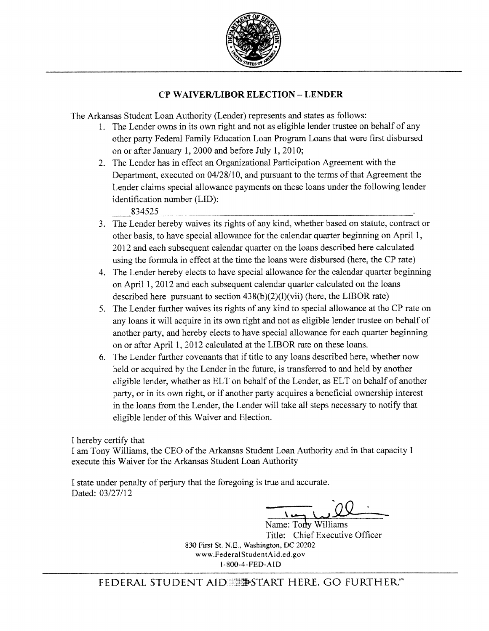

# CP WAIVER/LIBOR ELECTION - LENDER

The Arkansas Student Loan Authority (Lender) represents and states as follows:

- 1. The Lender owns in its own right and not as eligible lender trustee on behalf of any other party Federal Family Education Loan Program Loans that were first disbursed on or after January 1, 2000 and before July 1, 2010;
- 2. The Lender has in effect an Organizational Participation Agreement with the Department, executed on 04/28/10, and pursuant to the terms of that Agreement the Lender claims special allowance payments on these loans under the following lender identification number (LID):

834525

- 3. The Lender hereby waives its rights of any kind, whether based on statute, contract or other basis, to have special allowance for the calendar quarter beginning on April 1, 2012 and each subsequent calendar quarter on the loans described here calculated using the formula in effect at the time the loans were disbursed (here, the CP rate)
- 4. The Lender hereby elects to have special allowance for the calendar quarter beginning on April 1, 2012 and each subsequent calendar quarter calculated on the loans described here pursuant to section  $438(b)(2)(l)(vii)$  (here, the LIBOR rate)
- 5. The Lender further waives its rights of any kind to special allowance at the CP rate on any loans it will acquire in its own right and not as eligible lender trustee on behalf of another party, and hereby elects to have special allowance for each quarter beginning on or after April 1, 2012 calculated at the LIBOR rate on these loans.
- 6. The Lender further covenants that if title to any loans described here, whether now held or acquired by the Lender in the future, is transferred to and held by another eligible lender, whether as ELT on behalf of the Lender, as ELT on behalf of another party, or in its own right, or if another party acquires a beneficial ownership interest in the loans from the Lender, the Lender will take all steps necessary to notify that eligible lender of this Waiver and Election.

<sup>I</sup> hereby certify that

<sup>I</sup> am Tony Williams, the CEO of the Arkansas Student Loan Authority and in that capacity I execute this Waiver for the Arkansas Student Loan Authority

I state under penalty of perjury that the foregoing is true and accurate. Dated: 03/27/12

 $\sqrt{2}$ 

Name: Tony Williams Title: Chief Executive Officer 830 First St. N.E., Washington, DC 20202 www.FederalStudentAid.ed.gov 1-8004-FEDA1D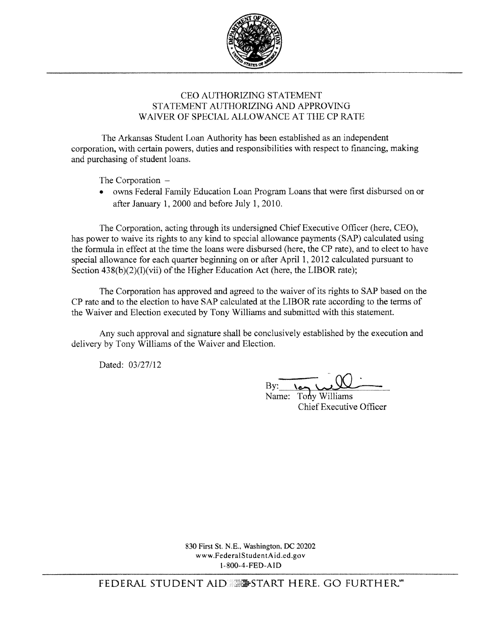

# CEO AUTHORIZING STATEMENT STATEMFNT AUTHORIZING AND APPROVING WAIVER OF SPECIAL ALLOWANCE AT THE CP RATE

The Arkansas Student Loan Authority has been established as an independent corporation, with certain powers, duties and responsibilities with respect to financing, making and purchasing of student loans.

The Corporation —

• owns Federal Family Education Loan Program Loans that were first disbursed on or after January 1. 2000 and before July 1, 2010.

The Corporation, acting through its undersigned Chief Executive Officer (here, CEO), has power to waive its rights to any kind to special allowance payments (SAP) calculated using the formula in effect at the time the loans were disbursed (here, the CP rate), and to elect to have special allowance for each quarter beginning on or after April 1, 2012 calculated pursuant to Section  $438(b)(2)(l)(vii)$  of the Higher Education Act (here, the LIBOR rate);

The Corporation has approved and agreed to the waiver of its rights to SAP based on the CP rate and to the election to have SAP calculated at the LIBOR rate according to the terms of the Waiver and Election executed by Tony Williams and submitted with this statement.

Any such approval and signature shall be conclusively established by the execution and delivery by Tony Williams of the Waiver and Election.

Dated: 03/27/12

and submitted with this statement<br>
nclusively established by the exe<br>
on.<br>
By: Name: Tony Williams<br>
Chief Executive Office

Name: Tony Williams Chief Executive Officer

830 First St. N.E., Washington, DC 20202 www.FederalStudentAid.ed.gov 1800-4-FED.AID